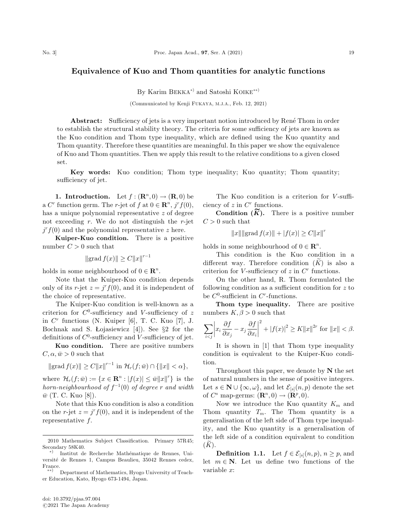By Karim BEKKA<sup>\*</sup> and Satoshi KOIKE<sup>\*\*</sup>

(Communicated by Kenji FUKAYA, M.J.A., Feb. 12, 2021)

Abstract: Sufficiency of jets is a very important notion introduced by René Thom in order to establish the structural stability theory. The criteria for some sufficiency of jets are known as the Kuo condition and Thom type inequality, which are defined using the Kuo quantity and Thom quantity. Therefore these quantities are meaningful. In this paper we show the equivalence of Kuo and Thom quantities. Then we apply this result to the relative conditions to a given closed set.

Key words: Kuo condition; Thom type inequality; Kuo quantity; Thom quantity; sufficiency of jet.

1. Introduction. Let  $f: (\mathbb{R}^n, 0) \to (\mathbb{R}, 0)$  be a C<sup>r</sup> function germ. The r-jet of f at  $0 \in \mathbb{R}^n$ , j<sup>r</sup>f(0), has a unique polynomial representative z of degree not exceeding  $r$ . We do not distinguish the  $r$ -jet  $j^r f(0)$  and the polynomial representative z here.

Kuiper-Kuo condition. There is a positive number  $C > 0$  such that

 $\| \operatorname{grad} f(x) \| \geq C \|x\|^{r-1}$ 

holds in some neighbourhood of  $0 \in \mathbb{R}^n$ .

Note that the Kuiper-Kuo condition depends only of its r-jet  $z = j^{r} f(0)$ , and it is independent of the choice of representative.

The Kuiper-Kuo condition is well-known as a criterion for  $C^0$ -sufficiency and V-sufficiency of z in  $C^r$  functions (N. Kuiper [6], T. C. Kuo [7], J. Bochnak and S. Łojasiewicz [4]). See §2 for the definitions of  $C^0$ -sufficiency and V-sufficiency of jet.

Kuo condition. There are positive numbers  $C, \alpha, \bar{w} > 0$  such that

$$
||\text{grad } f(x)|| \ge C||x||^{r-1} \text{ in } \mathcal{H}_r(f; \bar{w}) \cap {||x|| < \alpha},
$$

where  $\mathcal{H}_r(f; \bar{w}) := \{x \in \mathbb{R}^n : |f(x)| \leq \bar{w} ||x||^r\}$  is the horn-neighbourhood of  $f^{-1}(0)$  of degree r and width  $\bar{w}$  (T. C. Kuo [8]).

Note that this Kuo condition is also a condition on the r-jet  $z = j<sup>r</sup> f(0)$ , and it is independent of the representative f.

The Kuo condition is a criterion for V-sufficiency of  $z$  in  $C<sup>r</sup>$  functions.

**Condition**  $(\widetilde{K})$ . There is a positive number  $C > 0$  such that

$$
||x|| ||\text{grad } f(x)|| + |f(x)| \ge C ||x||^r
$$

holds in some neighbourhood of  $0 \in \mathbb{R}^n$ .

This condition is the Kuo condition in a different way. Therefore condition  $(K)$  is also a criterion for V-sufficiency of  $z$  in  $C<sup>r</sup>$  functions.

On the other hand, R. Thom formulated the following condition as a sufficient condition for  $z$  to be  $C^0$ -sufficient in  $C^r$ -functions.

Thom type inequality. There are positive numbers  $K, \beta > 0$  such that

$$
\sum_{i < j} \left| x_i \frac{\partial f}{\partial x_j} - x_j \frac{\partial f}{\partial x_i} \right|^2 + |f(x)|^2 \ge K \|x\|^{2r} \text{ for } \|x\| < \beta.
$$

It is shown in [1] that Thom type inequality condition is equivalent to the Kuiper-Kuo condition.

Throughout this paper, we denote by  $N$  the set of natural numbers in the sense of positive integers. Let  $s \in \mathbb{N} \cup \{\infty, \omega\}$ , and let  $\mathcal{E}_{[s]}(n, p)$  denote the set of  $C^s$  map-germs:  $(\mathbf{R}^n,0) \to (\mathbf{R}^p,0).$ 

Now we introduce the Kuo quantity  $K_m$  and Thom quantity  $T_m$ . The Thom quantity is a generalisation of the left side of Thom type inequality, and the Kuo quantity is a generalisation of the left side of a condition equivalent to condition  $(K).$ 

**Definition 1.1.** Let  $f \in \mathcal{E}_{[s]}(n, p)$ ,  $n \geq p$ , and let  $m \in \mathbb{N}$ . Let us define two functions of the variable x:

<sup>2010</sup> Mathematics Subject Classification. Primary 57R45; Secondary 58K40.

<sup>\*)</sup> Institut de Recherche Mathématique de Rennes, Universite´ de Rennes 1, Campus Beaulieu, 35042 Rennes cedex, France.

<sup>\*\*)</sup> Department of Mathematics, Hyogo University of Teacher Education, Kato, Hyogo 673-1494, Japan.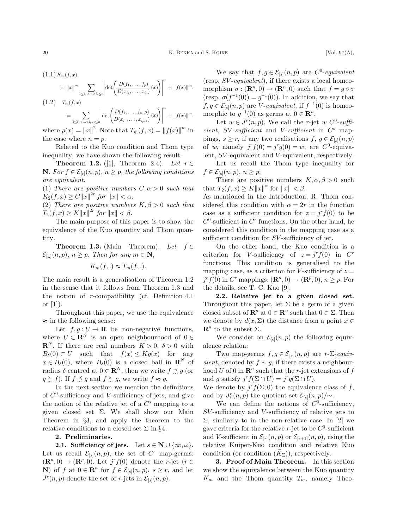$$
(1.2) \t T_m(f,x) = \sum_{1 \le i_1 < ... < i_{p+1} \le n} \left| \det \left( \frac{D(f_1, ..., f_p, \rho)}{D(x_{i_1}, ..., x_{i_{p+1}})}(x) \right) \right|^m + ||f(x)||^m,
$$

where  $\rho(x) = ||x||^2$ . Note that  $T_m(f, x) = ||f(x)||^m$  in the case where  $n = p$ .

Related to the Kuo condition and Thom type inequality, we have shown the following result.

**Theorem 1.2.** ([1], Theorem 2.4). Let  $r \in$ **N**. For  $f \in \mathcal{E}_{[r]}(n, p)$ ,  $n \geq p$ , the following conditions are equivalent.

(1) There are positive numbers  $C, \alpha > 0$  such that  $K_2(f, x) \ge C ||x||^{2r} \text{ for } ||x|| < \alpha.$ 

(2) There are positive numbers  $K, \beta > 0$  such that  $T_2(f, x) \ge K ||x||^{2r}$  for  $||x|| < \beta$ .

The main purpose of this paper is to show the equivalence of the Kuo quantity and Thom quantity.

**Theorem 1.3.** (Main Theorem). Let  $f \in$  $\mathcal{E}_{[\omega]}(n,p), n \geq p$ . Then for any  $m \in \mathbb{N}$ ,

$$
K_m(f,.) \approx T_m(f,.).
$$

The main result is a generalisation of Theorem 1.2 in the sense that it follows from Theorem 1.3 and the notion of r-compatibility (cf. Definition 4.1 or [1]).

Throughout this paper, we use the equivalence  $\approx$  in the following sense:

Let  $f,g:U\to\mathbf{R}$  be non-negative functions, where  $U \subset \mathbf{R}^N$  is an open neighbourhood of  $0 \in$  $\mathbf{R}^{N}$ . If there are real numbers  $K > 0$ ,  $\delta > 0$  with  $B_\delta(0) \subset U$  such that  $f(x) \leq Kg(x)$  for any  $x \in B_\delta(0)$ , where  $B_\delta(0)$  is a closed ball in  $\mathbb{R}^N$  of radius  $\delta$  centred at  $0 \in \mathbb{R}^N$ , then we write  $f \precsim g$  (or  $g \gtrsim f$ ). If  $f \precsim g$  and  $f \gtrsim g$ , we write  $f \approx g$ .

In the next section we mention the definitions of  $C^0$ -sufficiency and V-sufficiency of jets, and give the notion of the relative jet of a  $C^s$  mapping to a given closed set  $\Sigma$ . We shall show our Main Theorem in §3, and apply the theorem to the relative conditions to a closed set  $\Sigma$  in §4.

## 2. Preliminaries.

**2.1.** Sufficiency of jets. Let  $s \in \mathbb{N} \cup \{\infty, \omega\}.$ Let us recall  $\mathcal{E}_{[s]}(n, p)$ , the set of  $C^s$  map-germs:  $(\mathbf{R}^n,0) \rightarrow (\mathbf{R}^p,0)$ . Let  $j^r f(0)$  denote the r-jet  $(r \in$ N) of f at  $0 \in \mathbb{R}^n$  for  $f \in \mathcal{E}_{[s]}(n, p)$ ,  $s \geq r$ , and let  $J^r(n, p)$  denote the set of r-jets in  $\mathcal{E}_{[s]}(n, p)$ .

We say that  $f,g \in \mathcal{E}_{[s]}(n,p)$  are  $C^0$ -equivalent (resp.  $SV\text{-}equivalent$ ), if there exists a local homeomorphism  $\sigma : (\mathbf{R}^n, 0) \to (\mathbf{R}^n, 0)$  such that  $f = g \circ \sigma$ (resp.  $\sigma(f^{-1}(0)) = g^{-1}(0)$ ). In addition, we say that  $f,g \in \mathcal{E}_{\{s\}}(n,p)$  are *V*-equivalent, if  $f^{-1}(0)$  is homeomorphic to  $q^{-1}(0)$  as germs at  $0 \in \mathbb{R}^n$ .

Let  $w \in J^r(n, p)$ . We call the r-jet w  $C^0$ -sufficient, SV-sufficient and V-sufficient in  $C^s$  mappings,  $s \geq r$ , if any two realisations  $f, g \in \mathcal{E}_{[s]}(n, p)$ of w, namely  $j^r f(0) = j^r g(0) = w$ , are  $C^0$ -equivalent, SV-equivalent and V-equivalent, respectively.

Let us recall the Thom type inequality for  $f \in \mathcal{E}_{[s]}(n, p), n \geq p$ :

There are positive numbers  $K, \alpha, \beta > 0$  such that  $T_2(f, x) \geq K ||x||^{\alpha}$  for  $||x|| < \beta$ .

As mentioned in the Introduction, R. Thom considered this condition with  $\alpha = 2r$  in the function case as a sufficient condition for  $z = j^{r} f(0)$  to be  $C^0$ -sufficient in  $C^r$  functions. On the other hand, he considered this condition in the mapping case as a sufficient condition for SV-sufficiency of jet.

On the other hand, the Kuo condition is a criterion for V-sufficiency of  $z = j^r f(0)$  in  $C^r$ functions. This condition is generalised to the mapping case, as a criterion for V-sufficiency of  $z =$  $j^r f(0)$  in  $C^r$  mappings:  $(\mathbf{R}^n, 0) \to (\mathbf{R}^p, 0), n \geq p$ . For the details, see T. C. Kuo [9].

2.2. Relative jet to a given closed set. Throughout this paper, let  $\Sigma$  be a germ of a given closed subset of  $\mathbb{R}^n$  at  $0 \in \mathbb{R}^n$  such that  $0 \in \Sigma$ . Then we denote by  $d(x, \Sigma)$  the distance from a point  $x \in$  $\mathbf{R}^n$  to the subset  $\Sigma$ .

We consider on  $\mathcal{E}_{[s]}(n, p)$  the following equivalence relation:

Two map-germs  $f, g \in \mathcal{E}_{[s]}(n, p)$  are r- $\Sigma$ -equivalent, denoted by  $f \sim g$ , if there exists a neighbourhood U of 0 in  $\mathbb{R}^n$  such that the r-jet extensions of f and g satisfy  $j^r f(\Sigma \cap U) = j^r g(\Sigma \cap U)$ .

We denote by  $j^r f(\Sigma; 0)$  the equivalence class of f, and by  $J_{\Sigma}^r(n,p)$  the quotient set  $\mathcal{E}_{[s]}(n,p)/\sim$ .

We can define the notions of  $C^0$ -sufficiency, SV -sufficiency and V -sufficiency of relative jets to  $\Sigma$ , similarly to in the non-relative case. In [2] we gave criteria for the relative r-jet to be  $C^0$ -sufficient and V-sufficient in  $\mathcal{E}_{[r]}(n,p)$  or  $\mathcal{E}_{[r+1]}(n,p)$ , using the relative Kuiper-Kuo condition and relative Kuo condition (or condition  $(K_{\Sigma})$ ), respectively.

3. Proof of Main Theorem. In this section we show the equivalence between the Kuo quantity  $K_m$  and the Thom quantity  $T_m$ , namely Theo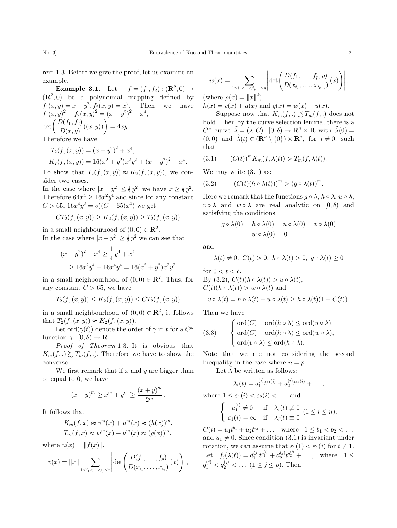rem 1.3. Before we give the proof, let us examine an example.

**Example 3.1.** Let  $f = (f_1, f_2) : (\mathbf{R}^2, 0) \rightarrow$  $(\mathbb{R}^2, 0)$  be a polynomial mapping defined by  $f_1(x, y) = x - y^2, f_2(x, y) = x^2$ . Then we have  $f_1(x,y)^2 + f_2(x,y)^2 = (x - y^2)^2 + x^4,$  $\det \left( \frac{D(f_1, f_2)}{D(x, y)}((x, y)) \right) = 4xy.$ 

Therefore we have

$$
T_2(f, (x, y)) = (x - y^2)^2 + x^4,
$$
  
\n
$$
K_2(f, (x, y)) = 16(x^2 + y^2)x^2y^2 + (x - y^2)^2 + x^4.
$$

To show that  $T_2(f,(x,y)) \approx K_2(f,(x,y))$ , we consider two cases.

In the case where  $|x - y^2| \leq \frac{1}{2}y^2$ , we have  $x \geq \frac{1}{2}y^2$ . Therefore  $64x^4 \ge 16x^2y^4$  and since for any constant  $C > 65$ ,  $16x^4y^2 = o((C - 65)x^4)$  we get

$$
CT_2(f, (x, y)) \ge K_2(f, (x, y)) \ge T_2(f, (x, y))
$$

in a small neighbourhood of  $(0,0) \in \mathbb{R}^2$ . In the case where  $|x - y^2| \ge \frac{1}{2}y^2$  we can see that

$$
(x - y2)2 + x4 \ge \frac{1}{4}y4 + x4
$$
  
 
$$
\ge 16x2y4 + 16x4y4 = 16(x2 + y2)x2y2
$$

in a small neighbourhood of  $(0,0) \in \mathbb{R}^2$ . Thus, for any constant  $C > 65$ , we have

$$
T_2(f, (x, y)) \le K_2(f, (x, y)) \le CT_2(f, (x, y))
$$

in a small neighbourhood of  $(0,0) \in \mathbb{R}^2$ , it follows that  $T_2(f,(x,y)) \approx K_2(f,(x,y))$ .

Let ord $(\gamma(t))$  denote the order of  $\gamma$  in t for a  $C^{\omega}$ function  $\gamma : [0, \delta) \to \mathbf{R}$ .

Proof of Theorem 1.3. It is obvious that  $K_m(f,.)\gtrsim T_m(f,.)$ . Therefore we have to show the converse.

We first remark that if  $x$  and  $y$  are bigger than or equal to 0, we have

$$
(x+y)^m \ge x^m + y^m \ge \frac{(x+y)^m}{2^m}.
$$

It follows that

$$
K_m(f, x) \approx v^m(x) + u^m(x) \approx (h(x))^m,
$$
  
\n
$$
T_m(f, x) \approx w^m(x) + u^m(x) \approx (g(x))^m,
$$

where  $u(x) = ||f(x)||$ ,

$$
v(x) = ||x|| \sum_{1 \le i_1 < ... < i_p \le n} \left| \det \left( \frac{D(f_1, ..., f_p)}{D(x_{i_1}, ..., x_{i_p})} (x) \right) \right|,
$$

$$
w(x) = \sum_{1 \le i_1 < \ldots < i_{p+1} \le n} \left| \det \left( \frac{D(f_1, \ldots, f_p, \rho)}{D(x_{i_1}, \ldots, x_{i_{p+1}})} (x) \right) \right|,
$$
  
(where  $\rho(x) = ||x||^2$ ),  
 $h(x) = v(x) + u(x)$  and  $g(x) = w(x) + u(x)$ .

Suppose now that  $K_m(f,.) \precsim T_m(f,.)$  does not hold. Then by the curve selection lemma, there is a  $C^{\omega}$  curve  $\tilde{\lambda} = (\lambda, C) : [0, \delta) \to \mathbb{R}^n \times \mathbb{R}$  with  $\tilde{\lambda}(0) =$  $(0,0)$  and  $\tilde{\lambda}(t) \in (\mathbf{R}^n \setminus \{0\}) \times \mathbf{R}^*$ , for  $t \neq 0$ , such that

$$
(3.1) \qquad (C(t))^m K_m(f, \lambda(t)) > T_m(f, \lambda(t)).
$$

We may write  $(3.1)$  as:

$$
(3.2) \qquad (C(t)(h \circ \lambda(t)))^m > (g \circ \lambda(t))^m.
$$

Here we remark that the functions  $q \circ \lambda$ ,  $h \circ \lambda$ ,  $u \circ \lambda$ ,  $v \circ \lambda$  and  $w \circ \lambda$  are real analytic on  $[0,\delta)$  and satisfying the conditions

$$
g \circ \lambda(0) = h \circ \lambda(0) = u \circ \lambda(0) = v \circ \lambda(0)
$$

$$
= w \circ \lambda(0) = 0
$$

and

$$
\lambda(t) \neq 0, \ C(t) > 0, \ h \circ \lambda(t) > 0, \ g \circ \lambda(t) \geq 0
$$

for 
$$
0 < t < \delta
$$
.  
\nBy (3.2),  $C(t)(h \circ \lambda(t)) > u \circ \lambda(t)$ ,  
\n $C(t)(h \circ \lambda(t)) > w \circ \lambda(t)$  and  
\n $v \circ \lambda(t) = h \circ \lambda(t) - u \circ \lambda(t) \ge h \circ \lambda(t)(1 - C(t))$ .

Then we have

(3.3) 
$$
\begin{cases} \text{ord}(C) + \text{ord}(h \circ \lambda) \leq \text{ord}(u \circ \lambda), \\ \text{ord}(C) + \text{ord}(h \circ \lambda) \leq \text{ord}(w \circ \lambda), \\ \text{ord}(v \circ \lambda) \leq \text{ord}(h \circ \lambda). \end{cases}
$$

Note that we are not considering the second inequality in the case where  $n = p$ .

Let  $\lambda$  be written as follows:

$$
\lambda_i(t) = a_1^{(i)} t^{\varepsilon_1(i)} + a_2^{(i)} t^{\varepsilon_2(i)} + \dots,
$$

where  $1 \leq \varepsilon_1(i) < \varepsilon_2(i) < \dots$  and

$$
\begin{cases}\na_1^{(i)} \neq 0 & \text{if } \lambda_i(t) \neq 0 \\
\varepsilon_1(i) = \infty & \text{if } \lambda_i(t) \equiv 0\n\end{cases} (1 \leq i \leq n),
$$

 $C(t) = u_1 t^{b_1} + u_2 t^{b_2} + \dots$  where  $1 \leq b_1 < b_2 < \dots$ and  $u_1 \neq 0$ . Since condition (3.1) is invariant under rotation, we can assume that  $\varepsilon_1(1) < \varepsilon_1(i)$  for  $i \neq 1$ . Let  $f_j(\lambda(t)) = d_1^{(j)} t^{q_1^{(j)}} + d_2^{(j)} t^{q_2^{(j)}} + \dots$ , where  $1 \leq$  $q_1^{(j)} < q_2^{(j)} < \dots (1 \le j \le p)$ . Then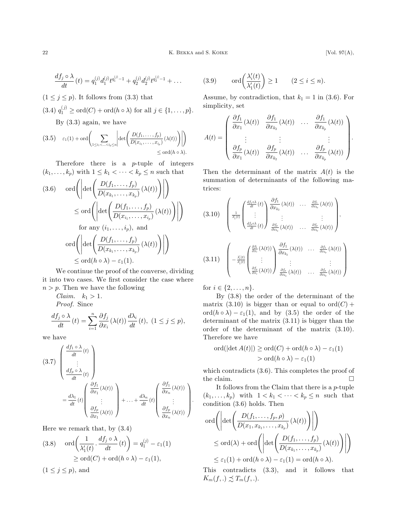$$
\frac{df_j\circ\lambda}{dt}(t)=q_1^{(j)}d_1^{(j)}t^{q_1^{(j)}-1}+q_2^{(j)}d_2^{(j)}t^{q_2^{(j)}-1}+\ldots
$$

 $(1 \leq j \leq p)$ . It follows from (3.3) that

(3.4) 
$$
q_1^{(j)} \geq \text{ord}(C) + \text{ord}(h \circ \lambda)
$$
 for all  $j \in \{1, ..., p\}.$ 

By (3.3) again, we have

$$
(3.5) \quad \varepsilon_1(1) + \text{ord}\left(\sum_{1 \leq i_1 < \ldots < i_p \leq n} \left| \det \left( \frac{D(f_1, \ldots, f_p)}{D(x_{i_1}, \ldots, x_{i_p})} (\lambda(t)) \right) \right| \right) \leq \text{ord}(h \circ \lambda).
$$

Therefore there is a p-tuple of integers  $(k_1, \ldots, k_p)$  with  $1 \leq k_1 < \cdots < k_p \leq n$  such that

$$
(3.6) \quad \text{ord}\left(\left|\det\left(\frac{D(f_1,\ldots,f_p)}{D(x_{k_1},\ldots,x_{k_p})}\left(\lambda(t)\right)\right)\right|\right)
$$

$$
\leq \text{ord}\left(\left|\det\left(\frac{D(f_1,\ldots,f_p)}{D(x_{i_1},\ldots,x_{i_p})}\left(\lambda(t)\right)\right)\right|\right)
$$
  
for any  $(i_1,\ldots,i_p)$ , and  
ord  $\left(\left|\det\left(\frac{D(f_1,\ldots,f_p)}{D(x_{k_1},\ldots,x_{k_p})}\left(\lambda(t)\right)\right)\right|\right)$   
 $\leq \text{ord}(h \circ \lambda) - \varepsilon_1(1).$ 

We continue the proof of the converse, dividing it into two cases. We first consider the case where  $n>p$ . Then we have the following

Claim.  $k_1 > 1$ . Proof. Since

$$
\frac{df_j \circ \lambda}{dt}(t) = \sum_{i=1}^n \frac{\partial f_j}{\partial x_i}(\lambda(t)) \frac{d\lambda_i}{dt}(t), \ (1 \le j \le p),
$$

we have

$$
(3.7) \begin{pmatrix} \frac{df_1 \circ \lambda}{dt}(t) \\ \vdots \\ \frac{df_p \circ \lambda}{dt}(t) \end{pmatrix}
$$

$$
= \frac{d\lambda_1}{dt}(t) \begin{pmatrix} \frac{\partial f_1}{\partial x_1}(\lambda(t)) \\ \vdots \\ \frac{\partial f_p}{\partial x_1}(\lambda(t)) \end{pmatrix} + \ldots + \frac{d\lambda_n}{dt}(t) \begin{pmatrix} \frac{\partial f_1}{\partial x_n}(\lambda(t)) \\ \vdots \\ \frac{\partial f_p}{\partial x_n}(\lambda(t)) \end{pmatrix}.
$$

Here we remark that, by (3.4)

(3.8) 
$$
\operatorname{ord}\left(\frac{1}{\lambda'_1(t)}, \frac{df_j \circ \lambda}{dt}(t)\right) = q_1^{(j)} - \varepsilon_1(1)
$$

$$
\geq \operatorname{ord}(C) + \operatorname{ord}(h \circ \lambda) - \varepsilon_1(1),
$$

$$
(1 \leq j \leq p), \text{ and}
$$

(3.9) 
$$
\operatorname{ord}\left(\frac{\lambda_i'(t)}{\lambda_1'(t)}\right) \ge 1 \qquad (2 \le i \le n).
$$

Assume, by contradiction, that  $k_1 = 1$  in (3.6). For simplicity, set

$$
A(t) = \begin{pmatrix} \frac{\partial f_1}{\partial x_1}(\lambda(t)) & \frac{\partial f_1}{\partial x_{k_2}}(\lambda(t)) & \dots & \frac{\partial f_1}{\partial x_{k_p}}(\lambda(t)) \\ \vdots & \vdots & \vdots & \vdots \\ \frac{\partial f_p}{\partial x_1}(\lambda(t)) & \frac{\partial f_p}{\partial x_{k_2}}(\lambda(t)) & \dots & \frac{\partial f_p}{\partial x_{k_p}}(\lambda(t)) \end{pmatrix}.
$$

Then the determinant of the matrix  $A(t)$  is the summation of determinants of the following matrices:

$$
(3.10) \begin{pmatrix} \frac{1}{d} \frac{df_1 \circ \lambda}{dt}(t) \ \vdots \ \frac{df_2 \circ \lambda}{dt}(t) \end{pmatrix} \frac{\partial f_1}{\partial x_{k_2}}(\lambda(t)) \cdots \frac{\partial f_1}{\partial x_{k_p}}(\lambda(t)) \ \vdots \ \frac{df_p \circ \lambda}{dt}(t) \begin{pmatrix} \frac{\partial f_p}{\partial x_{k_2}}(\lambda(t)) \ \vdots \ \frac{\partial f_p}{\partial x_{k_2}}(\lambda(t)) \ \vdots \ \frac{\partial f_p}{\partial x_{k_p}}(\lambda(t)) \end{pmatrix},
$$
  

$$
(3.11) \begin{pmatrix} \frac{\partial f_1}{\partial x_i}(t) \ \vdots \ \frac{\partial f_p}{\partial x_i}(\lambda(t)) \ \vdots \ \frac{\partial f_p}{\partial x_{k_2}}(\lambda(t)) \ \vdots \ \frac{\partial f_p}{\partial x_{k_p}}(\lambda(t)) \end{pmatrix} \frac{\partial f_1}{\partial x_{k_2}}(\lambda(t)) \cdots \frac{\partial f_p}{\partial x_{k_p}}(\lambda(t)) \end{pmatrix}
$$

for  $i \in \{2, ..., n\}$ .

By (3.8) the order of the determinant of the matrix (3.10) is bigger than or equal to  $ord(C)$  + ord $(h \circ \lambda) - \varepsilon_1(1)$ , and by (3.5) the order of the determinant of the matrix (3.11) is bigger than the order of the determinant of the matrix (3.10). Therefore we have

$$
\text{ord}(|\det A(t)|) \ge \text{ord}(C) + \text{ord}(h \circ \lambda) - \varepsilon_1(1)
$$
  
> 
$$
\text{ord}(h \circ \lambda) - \varepsilon_1(1)
$$

which contradicts (3.6). This completes the proof of the claim.  $\hfill \square$ 

It follows from the Claim that there is a p-tuple  $(k_1, \ldots, k_p)$  with  $1 < k_1 < \cdots < k_p \leq n$  such that condition (3.6) holds. Then

$$
\text{ord}\left(\left|\det\left(\frac{D(f_1,\ldots,f_p,\rho)}{D(x_1,x_{k_1},\ldots,x_{k_p})}\left(\lambda(t)\right)\right)\right|\right)
$$
  

$$
\leq \text{ord}(\lambda) + \text{ord}\left(\left|\det\left(\frac{D(f_1,\ldots,f_p)}{D(x_{k_1},\ldots,x_{k_p})}\left(\lambda(t)\right)\right)\right|\right)
$$
  

$$
\leq \varepsilon_1(1) + \text{ord}(h\circ\lambda) - \varepsilon_1(1) = \text{ord}(h\circ\lambda).
$$

This contradicts (3.3), and it follows that  $K_m(f,.) \precsim T_m(f,.)$ .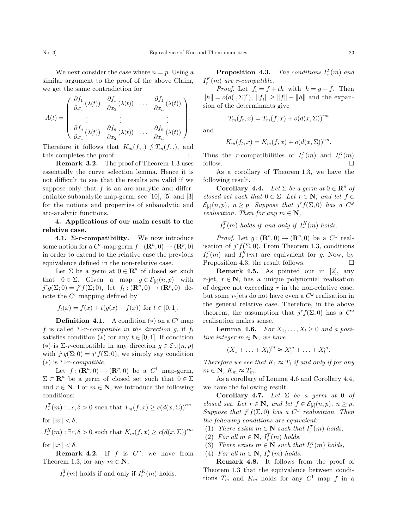We next consider the case where  $n = p$ . Using a similar argument to the proof of the above Claim, we get the same contradiction for

$$
A(t) = \begin{pmatrix} \frac{\partial f_1}{\partial x_1}(\lambda(t)) & \frac{\partial f_1}{\partial x_2}(\lambda(t)) & \dots & \frac{\partial f_1}{\partial x_n}(\lambda(t)) \\ \vdots & \vdots & \vdots \\ \frac{\partial f_n}{\partial x_1}(\lambda(t)) & \frac{\partial f_n}{\partial x_2}(\lambda(t)) & \dots & \frac{\partial f_n}{\partial x_n}(\lambda(t)) \end{pmatrix}.
$$

Therefore it follows that  $K_m(f,.) \preceq T_m(f,.)$ , and this completes the proof.  $\Box$ 

Remark 3.2. The proof of Theorem 1.3 uses essentially the curve selection lemma. Hence it is not difficult to see that the results are valid if we suppose only that  $f$  is an arc-analytic and differentiable subanalytic map-germ; see [10], [5] and [3] for the notions and properties of subanalytic and arc-analytic functions.

4. Applications of our main result to the relative case.

**4.1.**  $\Sigma$ **-r-compatibility.** We now introduce some notion for a  $C^r$ -map germ  $f : (\mathbf{R}^n, 0) \to (\mathbf{R}^p, 0)$ in order to extend to the relative case the previous equivalence defined in the non-relative case.

Let  $\Sigma$  be a germ at  $0 \in \mathbb{R}^n$  of closed set such that  $0 \in \Sigma$ . Given a map  $g \in \mathcal{E}_{[r]}(n,p)$  with  $j^r g(\Sigma; 0) = j^r f(\Sigma; 0)$ , let  $f_t : (\mathbf{R}^n, 0) \rightarrow (\mathbf{R}^p, 0)$  denote the  $C<sup>r</sup>$  mapping defined by

$$
f_t(x) = f(x) + t(g(x) - f(x))
$$
 for  $t \in [0, 1]$ .

**Definition 4.1.** A condition  $(*)$  on a  $C<sup>r</sup>$  map f is called  $\Sigma$ -r-compatible in the direction g, if  $f_t$ satisfies condition (\*) for any  $t \in [0,1]$ . If condition (\*) is  $\Sigma$ -r-compatible in any direction  $g \in \mathcal{E}_{[r]}(n, p)$ with  $j^r g(\Sigma; 0) = j^r f(\Sigma; 0)$ , we simply say condition (\*) is  $\Sigma$ -r-compatible.

Let  $f: (\mathbf{R}^n, 0) \to (\mathbf{R}^p, 0)$  be a  $C^1$  map-germ,  $\Sigma \subset \mathbb{R}^n$  be a germ of closed set such that  $0 \in \Sigma$ and  $r \in \mathbb{N}$ . For  $m \in \mathbb{N}$ , we introduce the following conditions:

$$
I_r^T(m) : \exists c, \delta > 0
$$
 such that  $T_m(f, x) \ge c(d(x, \Sigma))^{rm}$ 

for  $||x|| < \delta$ ,

 $I_r^K(m)$ :  $\exists c, \delta > 0$  such that  $K_m(f, x) \geq c(d(x, \Sigma))^{rm}$ for  $||x|| < \delta$ .

**Remark 4.2.** If f is  $C^{\omega}$ , we have from Theorem 1.3, for any  $m \in \mathbb{N}$ ,

 $I_r^T(m)$  holds if and only if  $I_r^K(m)$  holds.

**Proposition 4.3.** The conditions  $I_r^T(m)$  and  $I_r^K(m)$  are r-compatible.

*Proof.* Let  $f_t = f + th$  with  $h = g - f$ . Then  $||h|| = o(d(. , \Sigma)^r)$ ,  $||f_t|| \ge ||f|| - ||h||$  and the expansion of the determinants give

$$
T_m(f_t, x) = T_m(f, x) + o(d(x, \Sigma))^{rm}
$$

and

$$
K_m(f_t, x) = K_m(f, x) + o(d(x, \Sigma))^{rm}.
$$

Thus the *r*-compatibilities of  $I_r^T(m)$  and  $I_r^K(m)$ follow.  $\Box$ 

As a corollary of Theorem 1.3, we have the following result.

**Corollary 4.4.** Let  $\Sigma$  be a germ at  $0 \in \mathbb{R}^n$  of closed set such that  $0 \in \Sigma$ . Let  $r \in \mathbb{N}$ , and let  $f \in$  $\mathcal{E}_{[r]}(n,p),\ \ n\geq p.$  Suppose that  $j^r f(\Sigma,0)$  has a  $C^{\omega}$ realisation. Then for any  $m \in \mathbb{N}$ ,

 $I_r^T(m)$  holds if and only if  $I_r^K(m)$  holds.

*Proof.* Let  $g: (\mathbf{R}^n, 0) \to (\mathbf{R}^p, 0)$  be a  $C^{\omega}$  realisation of  $j^r f(\Sigma, 0)$ . From Theorem 1.3, conditions  $I_r^T(m)$  and  $I_r^K(m)$  are equivalent for g. Now, by Proposition 4.3, the result follows.  $\Box$ 

Remark 4.5. As pointed out in [2], any r-jet,  $r \in \mathbb{N}$ , has a unique polynomial realisation of degree not exceeding  $r$  in the non-relative case, but some r-jets do not have even a  $C^{\omega}$  realisation in the general relative case. Therefore, in the above theorem, the assumption that  $j^r f(\Sigma, 0)$  has a  $C^{\omega}$ realisation makes sense.

**Lemma 4.6.** For  $X_1, \ldots, X_l \geq 0$  and a positive integer  $m \in \mathbb{N}$ , we have

$$
(X_1 + \ldots + X_l)^m \approx X_1^m + \ldots + X_l^m.
$$

Therefore we see that  $K_1 \approx T_1$  if and only if for any  $m \in \mathbf{N}, K_m \approx T_m.$ 

As a corollary of Lemma 4.6 and Corollary 4.4, we have the following result.

Corollary 4.7. Let  $\Sigma$  be a germ at 0 of closed set. Let  $r \in \mathbb{N}$ , and let  $f \in \mathcal{E}_{[r]}(n, p)$ ,  $n \geq p$ . Suppose that  $j^r f(\Sigma, 0)$  has a  $C^{\omega}$  realisation. Then the following conditions are equivalent:

- (1) There exists  $m \in \mathbb{N}$  such that  $I_r^T(m)$  holds,
- (2) For all  $m \in \mathbb{N}$ ,  $I_r^T(m)$  holds,
- (3) There exists  $m \in \mathbb{N}$  such that  $I_r^K(m)$  holds,
- (4) For all  $m \in \mathbb{N}$ ,  $I_r^K(m)$  holds.

Remark 4.8. It follows from the proof of Theorem 1.3 that the equivalence between conditions  $T_m$  and  $K_m$  holds for any  $C^1$  map  $f$  in a